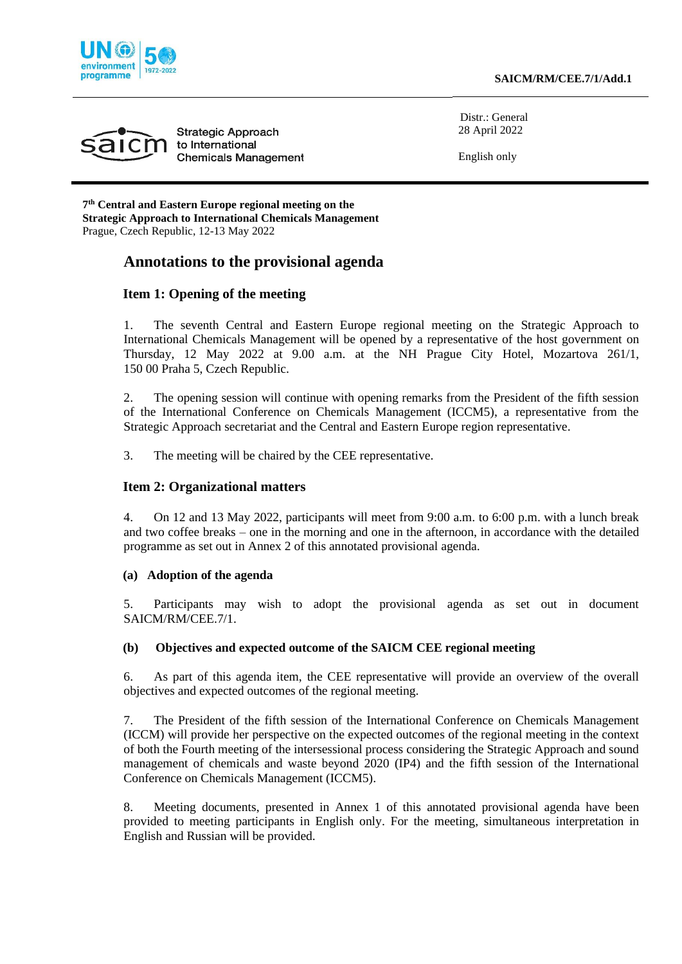





Distr.: General 28 April 2022

English only

**7 th Central and Eastern Europe regional meeting on the Strategic Approach to International Chemicals Management** Prague, Czech Republic, 12-13 May 2022

# **Annotations to the provisional agenda**

### **Item 1: Opening of the meeting**

1. The seventh Central and Eastern Europe regional meeting on the Strategic Approach to International Chemicals Management will be opened by a representative of the host government on Thursday, 12 May 2022 at 9.00 a.m. at the NH Prague City Hotel, Mozartova 261/1, 150 00 Praha 5, Czech Republic.

2. The opening session will continue with opening remarks from the President of the fifth session of the International Conference on Chemicals Management (ICCM5), a representative from the Strategic Approach secretariat and the Central and Eastern Europe region representative.

3. The meeting will be chaired by the CEE representative.

#### **Item 2: Organizational matters**

4. On 12 and 13 May 2022, participants will meet from 9:00 a.m. to 6:00 p.m. with a lunch break and two coffee breaks – one in the morning and one in the afternoon, in accordance with the detailed programme as set out in Annex 2 of this annotated provisional agenda.

#### **(a) Adoption of the agenda**

5. Participants may wish to adopt the provisional agenda as set out in document SAICM/RM/CEE.7/1.

#### **(b) Objectives and expected outcome of the SAICM CEE regional meeting**

6. As part of this agenda item, the CEE representative will provide an overview of the overall objectives and expected outcomes of the regional meeting.

7. The President of the fifth session of the International Conference on Chemicals Management (ICCM) will provide her perspective on the expected outcomes of the regional meeting in the context of both the Fourth meeting of the intersessional process considering the Strategic Approach and sound management of chemicals and waste beyond 2020 (IP4) and the fifth session of the International Conference on Chemicals Management (ICCM5).

8. Meeting documents, presented in Annex 1 of this annotated provisional agenda have been provided to meeting participants in English only. For the meeting, simultaneous interpretation in English and Russian will be provided.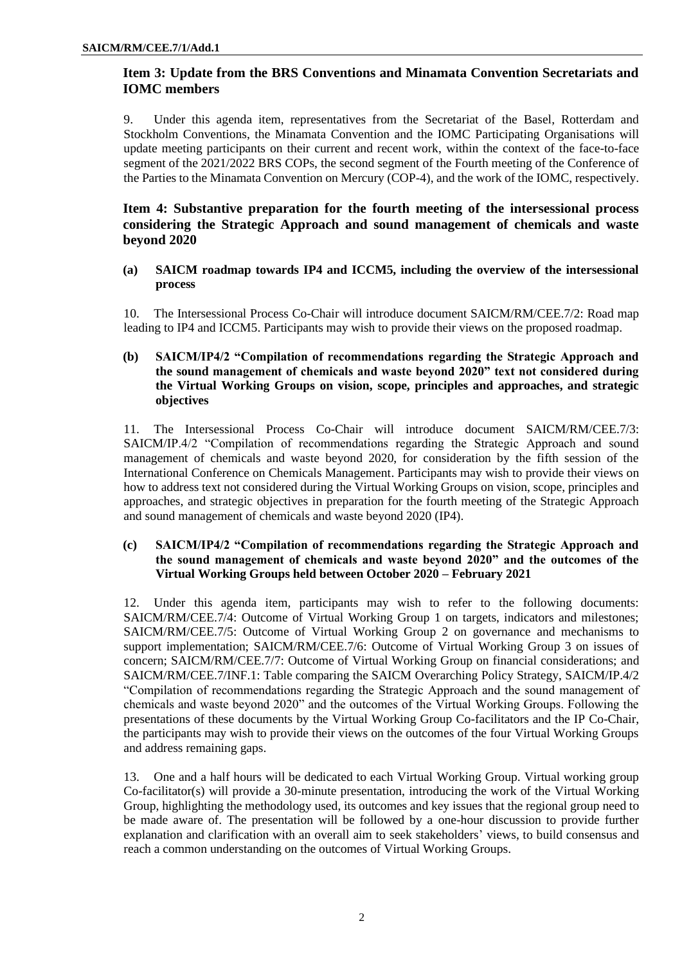## **Item 3: Update from the BRS Conventions and Minamata Convention Secretariats and IOMC members**

9. Under this agenda item, representatives from the Secretariat of the Basel, Rotterdam and Stockholm Conventions, the Minamata Convention and the IOMC Participating Organisations will update meeting participants on their current and recent work, within the context of the face-to-face segment of the 2021/2022 BRS COPs, the second segment of the Fourth meeting of the Conference of the Parties to the Minamata Convention on Mercury (COP-4), and the work of the IOMC, respectively.

### **Item 4: Substantive preparation for the fourth meeting of the intersessional process considering the Strategic Approach and sound management of chemicals and waste beyond 2020**

#### **(a) SAICM roadmap towards IP4 and ICCM5, including the overview of the intersessional process**

10. The Intersessional Process Co-Chair will introduce document SAICM/RM/CEE.7/2: Road map leading to IP4 and ICCM5. Participants may wish to provide their views on the proposed roadmap.

#### **(b) SAICM/IP4/2 "Compilation of recommendations regarding the Strategic Approach and the sound management of chemicals and waste beyond 2020" text not considered during the Virtual Working Groups on vision, scope, principles and approaches, and strategic objectives**

11. The Intersessional Process Co-Chair will introduce document SAICM/RM/CEE.7/3: SAICM/IP.4/2 "Compilation of recommendations regarding the Strategic Approach and sound management of chemicals and waste beyond 2020, for consideration by the fifth session of the International Conference on Chemicals Management. Participants may wish to provide their views on how to address text not considered during the Virtual Working Groups on vision, scope, principles and approaches, and strategic objectives in preparation for the fourth meeting of the Strategic Approach and sound management of chemicals and waste beyond 2020 (IP4).

#### **(c) SAICM/IP4/2 "Compilation of recommendations regarding the Strategic Approach and the sound management of chemicals and waste beyond 2020" and the outcomes of the Virtual Working Groups held between October 2020 – February 2021**

12. Under this agenda item, participants may wish to refer to the following documents: SAICM/RM/CEE.7/4: Outcome of Virtual Working Group 1 on targets, indicators and milestones; SAICM/RM/CEE.7/5: Outcome of Virtual Working Group 2 on governance and mechanisms to support implementation; SAICM/RM/CEE.7/6: Outcome of Virtual Working Group 3 on issues of concern; SAICM/RM/CEE.7/7: Outcome of Virtual Working Group on financial considerations; and SAICM/RM/CEE.7/INF.1: Table comparing the SAICM Overarching Policy Strategy, SAICM/IP.4/2 "Compilation of recommendations regarding the Strategic Approach and the sound management of chemicals and waste beyond 2020" and the outcomes of the Virtual Working Groups. Following the presentations of these documents by the Virtual Working Group Co-facilitators and the IP Co-Chair, the participants may wish to provide their views on the outcomes of the four Virtual Working Groups and address remaining gaps.

13. One and a half hours will be dedicated to each Virtual Working Group. Virtual working group Co-facilitator(s) will provide a 30-minute presentation, introducing the work of the Virtual Working Group, highlighting the methodology used, its outcomes and key issues that the regional group need to be made aware of. The presentation will be followed by a one-hour discussion to provide further explanation and clarification with an overall aim to seek stakeholders' views, to build consensus and reach a common understanding on the outcomes of Virtual Working Groups.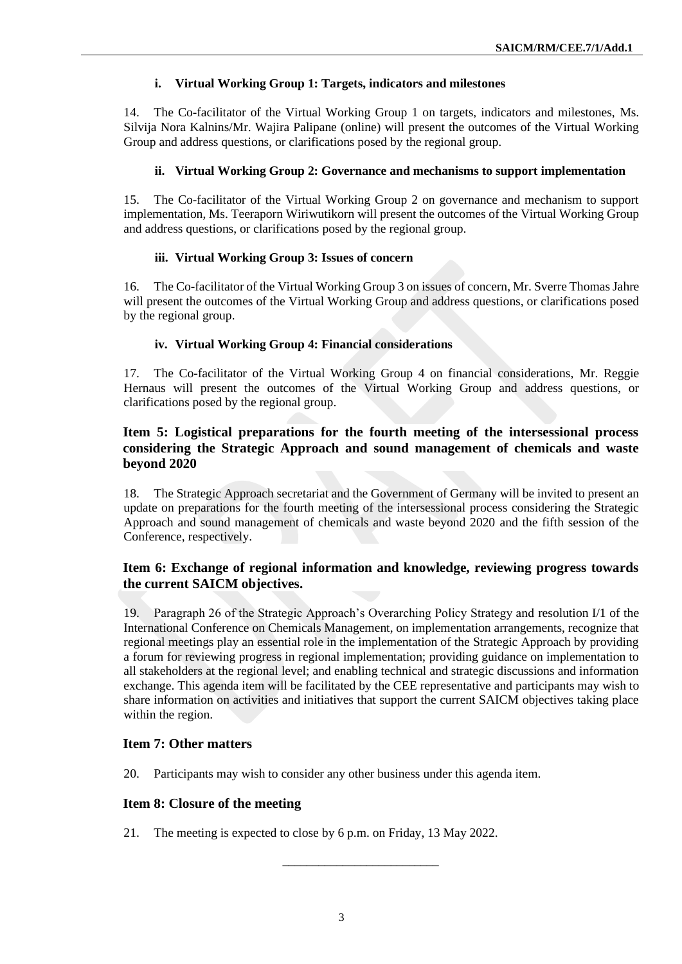#### **i. Virtual Working Group 1: Targets, indicators and milestones**

14. The Co-facilitator of the Virtual Working Group 1 on targets, indicators and milestones, Ms. Silvija Nora Kalnins/Mr. Wajira Palipane (online) will present the outcomes of the Virtual Working Group and address questions, or clarifications posed by the regional group.

#### **ii. Virtual Working Group 2: Governance and mechanisms to support implementation**

15. The Co-facilitator of the Virtual Working Group 2 on governance and mechanism to support implementation, Ms. Teeraporn Wiriwutikorn will present the outcomes of the Virtual Working Group and address questions, or clarifications posed by the regional group.

#### **iii. Virtual Working Group 3: Issues of concern**

16. The Co-facilitator of the Virtual Working Group 3 on issues of concern, Mr. Sverre Thomas Jahre will present the outcomes of the Virtual Working Group and address questions, or clarifications posed by the regional group.

#### **iv. Virtual Working Group 4: Financial considerations**

17. The Co-facilitator of the Virtual Working Group 4 on financial considerations, Mr. Reggie Hernaus will present the outcomes of the Virtual Working Group and address questions, or clarifications posed by the regional group.

#### **Item 5: Logistical preparations for the fourth meeting of the intersessional process considering the Strategic Approach and sound management of chemicals and waste beyond 2020**

18. The Strategic Approach secretariat and the Government of Germany will be invited to present an update on preparations for the fourth meeting of the intersessional process considering the Strategic Approach and sound management of chemicals and waste beyond 2020 and the fifth session of the Conference, respectively.

#### **Item 6: Exchange of regional information and knowledge, reviewing progress towards the current SAICM objectives.**

19. Paragraph 26 of the Strategic Approach's Overarching Policy Strategy and resolution I/1 of the International Conference on Chemicals Management, on implementation arrangements, recognize that regional meetings play an essential role in the implementation of the Strategic Approach by providing a forum for reviewing progress in regional implementation; providing guidance on implementation to all stakeholders at the regional level; and enabling technical and strategic discussions and information exchange. This agenda item will be facilitated by the CEE representative and participants may wish to share information on activities and initiatives that support the current SAICM objectives taking place within the region.

#### **Item 7: Other matters**

20. Participants may wish to consider any other business under this agenda item.

#### **Item 8: Closure of the meeting**

21. The meeting is expected to close by 6 p.m. on Friday, 13 May 2022.

\_\_\_\_\_\_\_\_\_\_\_\_\_\_\_\_\_\_\_\_\_\_\_\_\_\_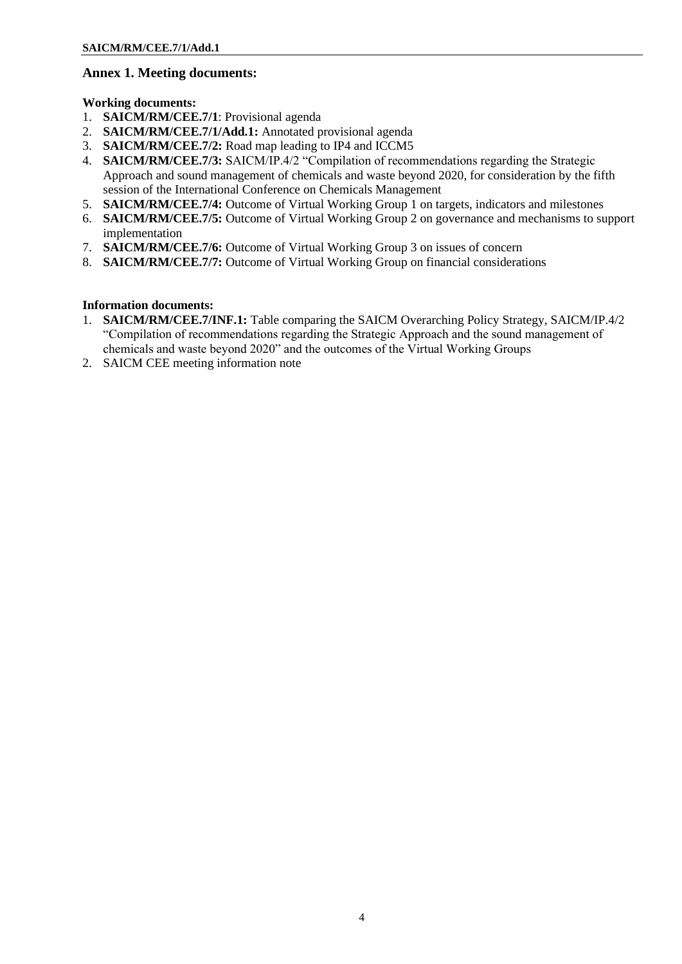### **Annex 1. Meeting documents:**

**Working documents:**

- 1. **SAICM/RM/CEE.7/1**: Provisional agenda
- 2. **SAICM/RM/CEE.7/1/Add.1:** Annotated provisional agenda
- 3. **SAICM/RM/CEE.7/2:** Road map leading to IP4 and ICCM5
- 4. **SAICM/RM/CEE.7/3:** SAICM/IP.4/2 "Compilation of recommendations regarding the Strategic Approach and sound management of chemicals and waste beyond 2020, for consideration by the fifth session of the International Conference on Chemicals Management
- 5. **SAICM/RM/CEE.7/4:** Outcome of Virtual Working Group 1 on targets, indicators and milestones
- 6. **SAICM/RM/CEE.7/5:** Outcome of Virtual Working Group 2 on governance and mechanisms to support implementation
- 7. **SAICM/RM/CEE.7/6:** Outcome of Virtual Working Group 3 on issues of concern
- 8. **SAICM/RM/CEE.7/7:** Outcome of Virtual Working Group on financial considerations

#### **Information documents:**

- 1. **SAICM/RM/CEE.7/INF.1:** Table comparing the SAICM Overarching Policy Strategy, SAICM/IP.4/2 "Compilation of recommendations regarding the Strategic Approach and the sound management of chemicals and waste beyond 2020" and the outcomes of the Virtual Working Groups
- 2. SAICM CEE meeting information note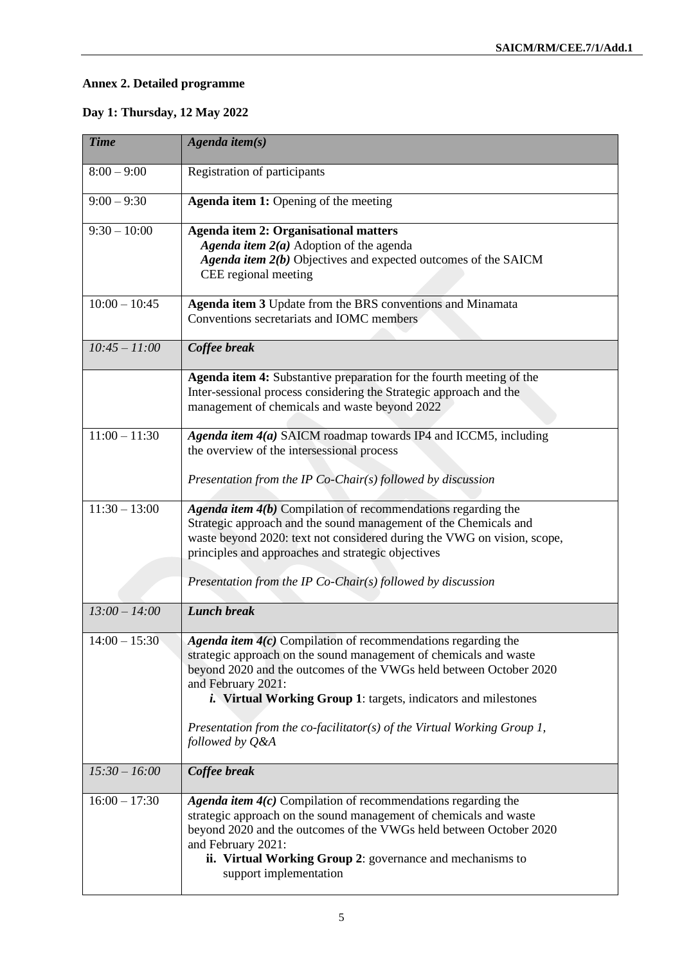# **Annex 2. Detailed programme**

# **Day 1: Thursday, 12 May 2022**

| <b>Time</b>     | Agenda item $(s)$                                                                                                                                                                                                                                                                                                                   |
|-----------------|-------------------------------------------------------------------------------------------------------------------------------------------------------------------------------------------------------------------------------------------------------------------------------------------------------------------------------------|
| $8:00 - 9:00$   | Registration of participants                                                                                                                                                                                                                                                                                                        |
| $9:00 - 9:30$   | <b>Agenda item 1:</b> Opening of the meeting                                                                                                                                                                                                                                                                                        |
| $9:30 - 10:00$  | <b>Agenda item 2: Organisational matters</b><br>Agenda item $2(a)$ Adoption of the agenda<br>Agenda item 2(b) Objectives and expected outcomes of the SAICM<br>CEE regional meeting                                                                                                                                                 |
| $10:00 - 10:45$ | Agenda item 3 Update from the BRS conventions and Minamata<br>Conventions secretariats and IOMC members                                                                                                                                                                                                                             |
| $10:45 - 11:00$ | Coffee break                                                                                                                                                                                                                                                                                                                        |
|                 | Agenda item 4: Substantive preparation for the fourth meeting of the<br>Inter-sessional process considering the Strategic approach and the<br>management of chemicals and waste beyond 2022                                                                                                                                         |
| $11:00 - 11:30$ | Agenda item 4(a) SAICM roadmap towards IP4 and ICCM5, including<br>the overview of the intersessional process<br>Presentation from the IP Co-Chair(s) followed by discussion                                                                                                                                                        |
| $11:30 - 13:00$ | Agenda item $4(b)$ Compilation of recommendations regarding the<br>Strategic approach and the sound management of the Chemicals and<br>waste beyond 2020: text not considered during the VWG on vision, scope,<br>principles and approaches and strategic objectives<br>Presentation from the IP Co-Chair(s) followed by discussion |
| $13:00 - 14:00$ | <b>Lunch break</b>                                                                                                                                                                                                                                                                                                                  |
| $14:00 - 15:30$ | Agenda item 4(c) Compilation of recommendations regarding the<br>strategic approach on the sound management of chemicals and waste<br>beyond 2020 and the outcomes of the VWGs held between October 2020<br>and February 2021:<br><i>i.</i> Virtual Working Group 1: targets, indicators and milestones                             |
|                 | Presentation from the co-facilitator(s) of the Virtual Working Group 1,<br>followed by Q&A                                                                                                                                                                                                                                          |
| $15:30 - 16:00$ | Coffee break                                                                                                                                                                                                                                                                                                                        |
| $16:00 - 17:30$ | Agenda item $4(c)$ Compilation of recommendations regarding the<br>strategic approach on the sound management of chemicals and waste<br>beyond 2020 and the outcomes of the VWGs held between October 2020<br>and February 2021:<br>ii. Virtual Working Group 2: governance and mechanisms to<br>support implementation             |